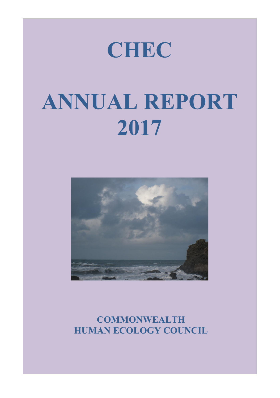# **CHEC CHEC CHEC**

# **ANNUAL REPORT 2017 2017 2017 CAE DE ANNUAL REPORT ANNUAL REPORT ANNUAL REPORT**



**COMMONWEALTH COMMONWEALTH COMMONWEALTH HUMAN ECOLOGY COUNCI** COLOGY COUNC **COMMONWEALTH HUMAN ECOLOGY COUNCIL** 

1

1

1

**ANNUAL REPORT**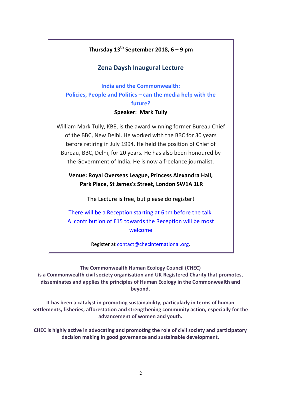## **Thursday 13th September 2018, 6 – 9 pm Thursday 13th September 2018, 6 – 9 pm**

#### **Zena Daysh Inaugural Lecture Zena Daysh Inaugural Lecture Thursday 13th September 2018, 6 – 9 pm RESERVE THE DAY!**

**India and the Commonwealth: Policies, People and Politics – can the media help with the Policies, People and Politics – can the media help with the future? future? Speaker: Mark Tully** *Zena Delities Zena die meeste ke***n** *<u>Ritics – can t</u>* 

## **Policies, People and Politics – can the media help with the**

William Mark Tully, KBE, is the award winning former Bureau Chief of the BBC, New Delhi. He worked with the BBC for 30 years before retiring in July 1994. He held the position of Chief of before retiring in July 1994. He held the position of Chief of **the future?** Bureau, BBC, Delhi, for 20 years. He has also been honoured by the Government of India. He is now a freelance journalist. before retiring in July 1994. He held the position of Chief of

Venue: Royal Overseas League, Princess Alexandra Hall, Park Place, St James's Street, London SW1A 1LR  $B = \frac{1}{2}$ 

The Lecture is free, but please do register!

There will be a Reception starting at 6pm before the talk. A contribution of £15 towards the Reception will be most welcome There will be a Reception starting at 6pm before the talk.

Register at contact@checinternational.org. **is a Commonwealth civil society organisation and UK Registered Charity that promotes,** 

welcome with the control of the control of the control of the control of the control of the control of the con<br>The control of the control of the control of the control of the control of the control of the control of the c

**is a Commonwealth civil society organisation and UK Registered Charity that promotes,** 

**The Commonwealth Human Ecology Council (CHEC)** disseminates and applies the principles of Human Ecology in the Commonwealth and settlements, fishering community and strengthening community action, especially for the  $\frac{1}{2}$ **advancement of women and youth.**  settlements, fishering processes and strengthening community action, especially for the  $\sim$ **advancement of women and youth.**  is a Commonwealth civil society organisation and UK Registered Charity that promotes, **beyond. The Commonwealth Human Ecology Council (CHEC) ine Commonwealth Human Ecology Council (CHEC)** 

settlements, fisheries, afforestation and strengthening community action, especially for the **decision making in government of women and youth.** *decision and youth***. It has been a catalyst in promoting sustainability, particularly in terms of human It has been a catalyst in promoting sustainability, particularly in terms of human**  it has been a catalyst in promoting sustainability, particularly in terms of numan

**CHEC is highly active in advocating and promoting the role of civil society and participatory decision making in good governance and sustainable development. CHEC is highly active in advocating and promoting the role of civil society and participatory**  is highly active in advocating and promoting the role of civil society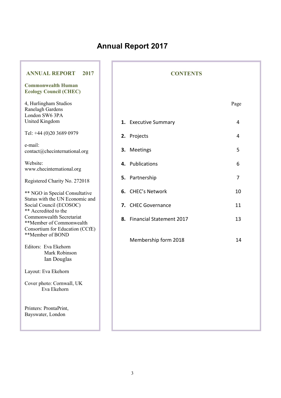## **Annual Report 2017**

ī

T

| <b>ANNUAL REPORT</b><br>2017                                                            | <b>CONTENTS</b> |                             |      |
|-----------------------------------------------------------------------------------------|-----------------|-----------------------------|------|
| <b>Commonwealth Human</b><br><b>Ecology Council (CHEC)</b>                              |                 |                             |      |
| 4, Hurlingham Studios<br>Ranelagh Gardens<br>London SW6 3PA                             |                 |                             | Page |
| <b>United Kingdom</b>                                                                   |                 | 1. Executive Summary        | 4    |
| Tel: +44 (0)20 3689 0979                                                                |                 | 2. Projects                 | 4    |
| e-mail:<br>contact@checinternational.org                                                |                 | 3. Meetings                 | 5    |
| Website:<br>www.checinternational.org                                                   |                 | 4. Publications             | 6    |
| Registered Charity No. 272018                                                           |                 | 5. Partnership              | 7    |
| ** NGO in Special Consultative<br>Status with the UN Economic and                       |                 | 6. CHEC's Network           | 10   |
| Social Council (ECOSOC)<br>** Accredited to the                                         |                 | 7. CHEC Governance          | 11   |
| Commonwealth Secretariat<br>**Member of Commonwealth<br>Consortium for Education (CCfE) |                 | 8. Financial Statement 2017 | 13   |
| **Member of BOND                                                                        |                 | Membership form 2018        | 14   |
| Editors: Eva Ekehorn<br>Mark Robinson<br>Ian Douglas                                    |                 |                             |      |
| Layout: Eva Ekehorn                                                                     |                 |                             |      |
| Cover photo: Cornwall, UK<br>Eva Ekehorn                                                |                 |                             |      |
| Printers: ProntaPrint,<br>Bayswater, London                                             |                 |                             |      |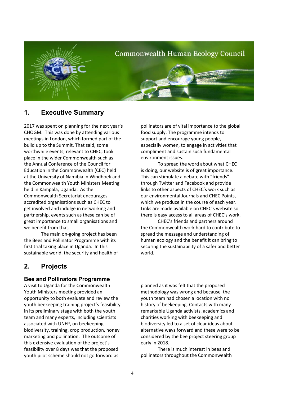

## **1. Executive Summary**

2017 was spent on planning for the next year's CHOGM. This was done by attending various meetings in London, which formed part of the build up to the Summit. That said, some worthwhile events, relevant to CHEC, took place in the wider Commonwealth such as the Annual Conference of the Council for Education in the Commonwealth (CEC) held at the University of Namibia in Windhoek and the Commonwealth Youth Ministers Meeting held in Kampala, Uganda. As the Commonwealth Secretariat encourages accredited organisations such as CHEC to get involved and indulge in networking and partnership, events such as these can be of great importance to small organisations and we benefit from that.

 The main on-going project has been the Bees and Pollinator Programme with its first trial taking place in Uganda. In this sustainable world, the security and health of

## **2. Projects**

#### **Bee and Pollinators Programme**

A visit to Uganda for the Commonwealth Youth Ministers meeting provided an opportunity to both evaluate and review the youth beekeeping training project's feasibility in its preliminary stage with both the youth team and many experts, including scientists associated with UNEP, on beekeeping, biodiversity, training, crop production, honey marketing and pollination. The outcome of this extensive evaluation of the project's feasibility over 8 days was that the proposed youth pilot scheme should not go forward as

pollinators are of vital importance to the global food supply. The programme intends to support and encourage young people, especially women, to engage in activities that compliment and sustain such fundamental environment issues.

 To spread the word about what CHEC is doing, our website is of great importance. This can stimulate a debate with "friends" through Twitter and Facebook and provide links to other aspects of CHEC's work such as our environmental Journals and CHEC Points, which we produce in the course of each year. Links are made available on CHEC's website so there is easy access to all areas of CHEC's work.

CHEC's friends and partners around the Commonwealth work hard to contribute to spread the message and understanding of human ecology and the benefit it can bring to securing the sustainability of a safer and better world.

planned as it was felt that the proposed methodology was wrong and because the youth team had chosen a location with no history of beekeeping. Contacts with many remarkable Uganda activists, academics and charities working with beekeeping and biodiversity led to a set of clear ideas about alternative ways forward and these were to be considered by the bee project steering group early in 2018.

There is much interest in bees and pollinators throughout the Commonwealth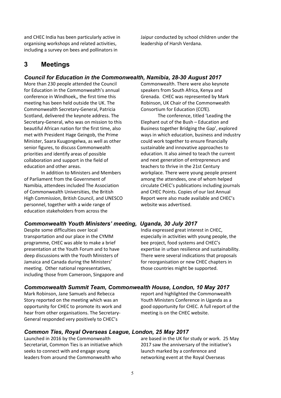and CHEC India has been particularly active in organising workshops and related activities, including a survey on bees and pollinators in

Jaipur conducted by school children under the leadership of Harsh Verdana.

### **3 Meetings**

#### *Council for Education in the Commonwealth, Namibia, 28-30 August 2017*

More than 230 people attended the Council for Education in the Commonwealth's annual conference in Windhoek,, the first time this meeting has been held outside the UK. The Commonwealth Secretary-General, Patricia Scotland, delivered the keynote address. The Secretary-General, who was on mission to this beautiful African nation for the first time, also met with President Hage Geingob, the Prime Minister, Saara Kuugongelwa, as well as other senior figures, to discuss Commonwealth priorities and identify areas of possible collaboration and support in the field of education and other areas.

In addition to Ministers and Members of Parliament from the Government of Namibia, attendees included The Association of Commonwealth Universities, the British High Commission, British Council, and UNESCO personnel, together with a wide range of education stakeholders from across the

#### *Commonwealth Youth Ministers' meeting, Uganda, 30 July 2017*

Despite some difficulties over local transportation and our place in the CYMM programme, CHEC was able to make a brief presentation at the Youth Forum and to have deep discussions with the Youth Ministers of Jamaica and Canada during the Ministers' meeting. Other national representatives, including those from Cameroon, Singapore and Commonwealth. There were also keynote speakers from South Africa, Kenya and Grenada. CHEC was represented by Mark Robinson, UK Chair of the Commonwealth Consortium for Education (CCfE).

The conference, titled 'Leading the Elephant out of the Bush – Education and Business together Bridging the Gap', explored ways in which education, business and industry could work together to ensure financially sustainable and innovative approaches to education. It also aimed to teach the current and next generation of entrepreneurs and teachers to thrive in the 21st Century workplace. There were young people present among the attendees, one of whom helped circulate CHEC's publications including journals and CHEC Points. Copies of our last Annual Report were also made available and CHEC's website was advertised.

India expressed great interest in CHEC, especially in activities with young people, the bee project, food systems and CHEC's expertise in urban resilience and sustainability. There were several indications that proposals for reorganisation or new CHEC chapters in those countries might be supported.

#### *Commonwealth Summit Team, Commonwealth House, London, 10 May 2017*

Mark Robinson, Jane Samuels and Rebecca Story reported on the meeting which was an opportunity for CHEC to promote its work and hear from other organisations. The Secretary-General responded very positively to CHEC's

report and highlighted the Commonwealth Youth Ministers Conference in Uganda as a good opportunity for CHEC. A full report of the meeting is on the CHEC website.

#### *Common Ties, Royal Overseas League, London, 25 May 2017*

Launched in 2016 by the Commonwealth Secretariat, Common Ties is an initiative which seeks to connect with and engage young leaders from around the Commonwealth who

are based in the UK for study or work. 25 May 2017 saw the anniversary of the initiative's launch marked by a conference and networking event at the Royal Overseas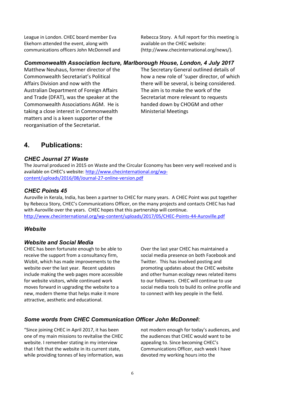League in London. CHEC board member Eva Ekehorn attended the event, along with communications officers John McDonnell and Rebecca Story. A full report for this meeting is available on the CHEC website: (http://www.checinternational.org/news/).

#### *Commonwealth Association lecture, Marlborough House, London, 4 July 2017*

Matthew Neuhaus, former director of the Commonwealth Secretariat's Political Affairs Division and now with the Australian Department of Foreign Affairs and Trade (DFAT), was the speaker at the Commonwealth Associations AGM. He is taking a close interest in Commonwealth matters and is a keen supporter of the reorganisation of the Secretariat.

The Secretary General outlined details of how a new role of 'super director, of which there will be several, is being considered. The aim is to make the work of the Secretariat more relevant to requests handed down by CHOGM and other Ministerial Meetings

## **4. Publications:**

#### *CHEC Journal 27 Waste*

The Journal produced in 2015 on Waste and the Circular Economy has been very well received and is available on CHEC's website: http://www.checinternational.org/wpcontent/uploads/2016/08/Journal-27-online-version.pdf

#### *CHEC Points 45*

Auroville in Kerala, India, has been a partner to CHEC for many years. A CHEC Point was put together by Rebecca Story, CHEC's Communications Officer, on the many projects and contacts CHEC has had with Auroville over the years. CHEC hopes that this partnership will continue. http://www.checinternational.org/wp-content/uploads/2017/05/CHEC-Points-44-Auroville.pdf

#### *Website*

#### *Website and Social Media*

CHEC has been fortunate enough to be able to receive the support from a consultancy firm, Wizbit, which has made improvements to the website over the last year. Recent updates include making the web pages more accessible for website visitors, while continued work moves forward in upgrading the website to a new, modern theme that helps make it more attractive, aesthetic and educational.

Over the last year CHEC has maintained a social media presence on both Facebook and Twitter. This has involved posting and promoting updates about the CHEC website and other human ecology news related items to our followers. CHEC will continue to use social media tools to build its online profile and to connect with key people in the field.

#### *Some words from CHEC Communication Officer John McDonnel*l:

"Since joining CHEC in April 2017, it has been one of my main missions to revitalise the CHEC website. I remember stating in my interview that I felt that the website in its current state, while providing tonnes of key information, was

not modern enough for today's audiences, and the audiences that CHEC would want to be appealing to. Since becoming CHEC's Communications Officer, each week I have devoted my working hours into the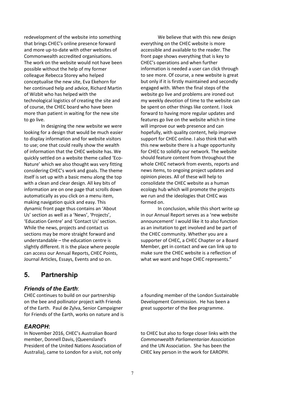redevelopment of the website into something that brings CHEC's online presence forward and more up-to-date with other websites of Commonwealth accredited organisations. The work on the website would not have been possible without the help of my former colleague Rebecca Storey who helped conceptualise the new site, Eva Ekehorn for her continued help and advice, Richard Martin of Wizbit who has helped with the technological logistics of creating the site and of course, the CHEC board who have been more than patient in waiting for the new site to go live.

In designing the new website we were looking for a design that would be much easier to display information and for website visitors to use; one that could really show the wealth of information that the CHEC website has. We quickly settled on a website theme called 'Eco-Nature' which we also thought was very fitting considering CHEC's work and goals. The theme itself is set up with a basic menu along the top with a clean and clear design. All key bits of information are on one page that scrolls down automatically as you click on a menu item, making navigation quick and easy. This dynamic front page thus contains an 'About Us' section as well as a 'News', 'Projects', 'Education Centre' and 'Contact Us' section. While the news, projects and contact us sections may be more straight forward and understandable – the education centre is slightly different. It is the place where people can access our Annual Reports, CHEC Points, Journal Articles, Essays, Events and so on.

We believe that with this new design everything on the CHEC website is more accessible and available to the reader. The front page shows everything that is key to CHEC's operations and when further information is needed a user can click through to see more. Of course, a new website is great but only if it is firstly maintained and secondly engaged with. When the final steps of the website go live and problems are ironed out my weekly devotion of time to the website can be spent on other things like content. I look forward to having more regular updates and features go live on the website which in time will improve our web presence and can hopefully, with quality content, help improve support for CHEC online. I also think that with this new website there is a huge opportunity for CHEC to solidify our network. The website should feature content from throughout the whole CHEC network from events, reports and news items, to ongoing project updates and opinion pieces. All of these will help to consolidate the CHEC website as a human ecology hub which will promote the projects we run and the ideologies that CHEC was formed on.

In conclusion, while this short write up in our Annual Report serves as a 'new website announcement' I would like it to also function as an invitation to get involved and be part of the CHEC community. Whether you are a supporter of CHEC, a CHEC Chapter or a Board Member, get in contact and we can link up to make sure the CHEC website is a reflection of what we want and hope CHEC represents."

## **5. Partnership**

#### *Friends of the Earth*:

CHEC continues to build on our partnership on the bee and pollinator project with Friends of the Earth. Paul de Zylva, Senior Campaigner for Friends of the Earth, works on nature and is

#### *EAROPH***:**

In November 2016, CHEC's Australian Board member, Donnell Davis, (Queensland's President of the United Nations Association of Australia), came to London for a visit, not only

a founding member of the London Sustainable Development Commission. He has been a great supporter of the Bee programme.

to CHEC but also to forge closer links with the *Commonwealth Parliamentarian Association* and the UN Association. She has been the CHEC key person in the work for EAROPH.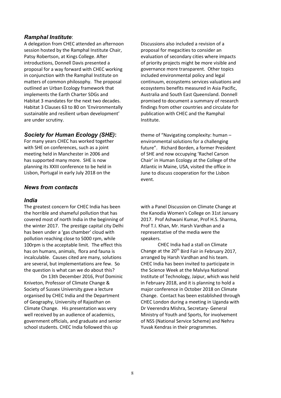#### *Ramphal Institute*:

A delegation from CHEC attended an afternoon session hosted by the Ramphal Institute Chair, Patsy Robertson, at Kings College. After introductions, Donnell Davis presented a proposal for a way forward with CHEC working in conjunction with the Ramphal Institute on matters of common philosophy. The proposal outlined an Urban Ecology framework that implements the Earth Charter SDGs and Habitat 3 mandates for the next two decades. Habitat 3 Clauses 63 to 80 on 'Environmentally sustainable and resilient urban development' are under scrutiny.

#### *Society for Human Ecology (SHE)***:**

For many years CHEC has worked together with SHE on conferences, such as a joint meeting held in Manchester in 2006 and has supported many more. SHE is now planning its XXIII conference to be held in Lisbon, Portugal in early July 2018 on the

#### *News from contacts*

#### *India*

The greatest concern for CHEC India has been the horrible and shameful pollution that has covered most of north India in the beginning of the winter 2017. The prestige capital city Delhi has been under a 'gas chamber' cloud with pollution reaching close to 5000 rpm, while 100rpm is the acceptable limit. The effect this has on humans, animals, flora and fauna is incalculable. Causes cited are many, solutions are several, but implementations are few. So the question is what can we do about this?

 On 13th December 2016, Prof Dominic Kniveton, Professor of Climate Change & Society of Sussex University gave a lecture organised by CHEC India and the Department of Geography, University of Rajasthan on Climate Change. His presentation was very well received by an audience of academics, government officials, and graduate and senior school students. CHEC India followed this up

Discussions also included a revision of a proposal for megacities to consider an evaluation of secondary cities where impacts of priority projects might be more visible and governance more transparent. Other topics included environmental policy and legal continuum, ecosystems services valuations and ecosystems benefits measured in Asia Pacific, Australia and South East Queensland. Donnell promised to document a summary of research findings from other countries and circulate for publication with CHEC and the Ramphal Institute.

theme of "Navigating complexity: human – environmental solutions for a challenging future". Richard Borden, a former President of SHE and now occupying 'Rachel Carson Chair' in Human Ecology at the College of the Atlantic in Maine, USA, visited the office in June to discuss cooperation for the Lisbon event.

with a Panel Discussion on Climate Change at the Kanodia Women's College on 31st January 2017. Prof Ashwani Kumar, Prof H.S. Sharma, Prof T.I. Khan, Mr. Harsh Vardhan and a representative of the media were the speakers.

 CHEC India had a stall on Climate Change at the  $20<sup>th</sup>$  Bird Fair in February 2017, arranged by Harsh Vardhan and his team. CHEC India has been invited to participate in the Science Week at the Malviya National Institute of Technology, Jaipur, which was held in February 2018, and it is planning to hold a major conference in October 2018 on Climate Change. Contact has been established through CHEC London during a meeting in Uganda with Dr Veerendra Mishra, Secretary- General Ministry of Youth and Sports, for involvement of NSS (National Service Scheme) and Nehru Yuvak Kendras in their programmes.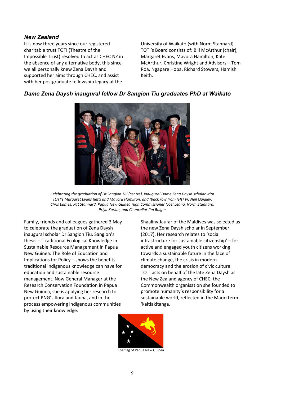#### *New Zealand*

It is now three years since our registered charitable trust TOTI (Theatre of the Impossible Trust) resolved to act as CHEC NZ in the absence of any alternative body, this since we all personally knew Zena Daysh and supported her aims through CHEC, and assist with her postgraduate fellowship legacy at the

University of Waikato (with Norm Stannard). TOTI's Board consists of: Bill McArthur (chair), Margaret Evans, Mavora Hamilton, Kate McArthur, Christine Wright and Advisors – Tom Roa, Ngapare Hopa, Richard Stowers, Hamish Keith.

#### *Dame Zena Daysh inaugural fellow Dr Sangion Tiu graduates PhD at Waikato*

*Celebrating the graduation of Dr Sangion Tui (centre), inaugural Dame Zena Daysh scholar with TOTI's Margaret Evans (left) and Mavora Hamilton, and (back row from left) VC Neil Quigley, Chris Eames, Pat Stannard, Papua New Guinea High Commissioner Noel Leana, Norm Stannard, Priya Kurian, and Chancellor Jim Bolger* 

Family, friends and colleagues gathered 3 May to celebrate the graduation of Zena Daysh inaugural scholar Dr Sangion Tiu. Sangion's thesis – 'Traditional Ecological Knowledge in Sustainable Resource Management in Papua New Guinea: The Role of Education and Implications for Policy – shows the benefits traditional indigenous knowledge can have for education and sustainable resource management. Now General Manager at the Research Conservation Foundation in Papua New Guinea, she is applying her research to protect PNG's flora and fauna, and in the process empowering indigenous communities by using their knowledge.

Shaaliny Jaufar of the Maldives was selected as the new Zena Daysh scholar in September (2017). Her research relates to 'social infrastructure for sustainable citizenship' – for active and engaged youth citizens working towards a sustainable future in the face of climate change, the crisis in modern democracy and the erosion of civic culture. TOTI acts on behalf of the late Zena Daysh as the New Zealand agency of CHEC, the Commonwealth organisation she founded to promote humanity's responsibility for a sustainable world, reflected in the Maori term 'kaitiakitanga.



The flag of Papua New Guinea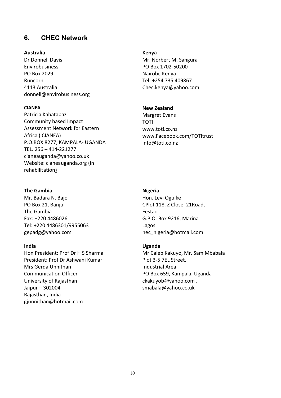## **6. CHEC Network**

#### **Australia**

Dr Donnell Davis Envirobusiness PO Box 2029 Runcorn 4113 Australia donnell@envirobusiness.org

#### **CIANEA**

Patricia Kabatabazi Community based Impact Assessment Network for Eastern Africa ( CIANEA) P.O.BOX 8277, KAMPALA- UGANDA TEL. 256 – 414-221277 cianeauganda@yahoo.co.uk Website: cianeauganda.org (in rehabilitation)

#### **The Gambia**

Mr. Badara N. Bajo PO Box 21, Banjul The Gambia Fax: +220 4486026 Tel: +220 4486301/9955063 gepadg@yahoo.com

#### **India**

Hon President: Prof Dr H S Sharma President: Prof Dr Ashwani Kumar Mrs Gerda Unnithan Communication Officer University of Rajasthan Jaipur – 302004 Rajasthan, India gjunnithan@hotmail.com

#### **Kenya**

Mr. Norbert M. Sangura PO Box 1702-50200 Nairobi, Kenya Tel: +254 735 409867 Chec.kenya@yahoo.com

#### **New Zealand**

Margret Evans TOTI www.toti.co.nz www.Facebook.com/TOTItrust info@toti.co.nz

#### **Nigeria**

Hon. Levi Oguike CPlot 118, Z Close, 21Road, Festac G.P.O. Box 9216, Marina Lagos. hec\_nigeria@hotmail.com

#### **Uganda**

Mr Caleb Kakuyo, Mr. Sam Mbabala Plot 3-5 7EL Street, Industrial Area PO Box 659, Kampala, Uganda ckakuyob@yahoo.com , smabala@yahoo.co.uk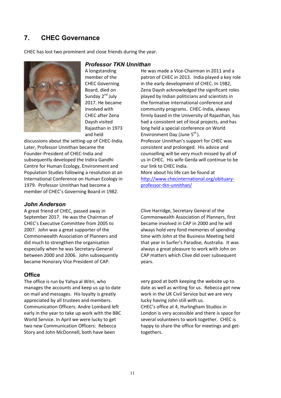## **7. CHEC Governance**

CHEC has lost two prominent and close friends during the year.



A longstanding member of the CHEC Governing Board, died on Sunday 2<sup>nd</sup> July 2017. He became involved with CHEC after Zena Daysh visited Rajasthan in 1973 and held

discussions about the setting-up of CHEC-India. Later, Professor Unnithan became the Founder-President of CHEC-India and subsequently developed the Indira Gandhi Centre for Human Ecology, Environment and Population Studies following a resolution at an International Conference on Human Ecology in 1979. Professor Unnithan had become a member of CHEC's Governing Board in 1982.

#### *John Anderson*

A great friend of CHEC, passed away in September 2017. He was the Chairman of CHEC's Executive Committee from 2005 to 2007. John was a great supporter of the Commonwealth Association of Planners and did much to strengthen the organisation especially when he was Secretary-General between 2000 and 2006. John subsequently became Honorary Vice President of CAP.

#### **Office**

The office is run by Yahya al Witri, who manages the accounts and keep us up to date on mail and messages. His loyalty is greatly appreciated by all trustees and members. Communication Officers: Andre Lombard left early in the year to take up work with the BBC World Service. In April we were lucky to get two new Communication Officers: Rebecca Story and John McDonnell, both have been

*Professor TKN Unnithan*

He was made a Vice-Chairman in 2011 and a patron of CHEC in 2013. India played a key role in the early development of CHEC. In 1982, Zena Daysh acknowledged the significant roles played by Indian politicians and scientists in the formative international conference and community programs. CHEC-India, always firmly based in the University of Rajasthan, has had a consistent set of local projects, and has long held a special conference on World Environment Day (June  $5^{th}$ ). Professor Unnithan's support for CHEC was consistent and prolonged. His advice and counselling will be very much missed by all of us in CHEC. His wife Gerda will continue to be our link to CHEC India. More about his life can be found at http://www.checinternational.org/obituaryprofessor-tkn-unnithan/

Clive Harridge, Secretary General of the Commonwealth Association of Planners, first became involved in CAP in 2000 and he will always hold very fond memories of spending time with John at the Business Meeting held that year in Surfer's Paradise, Australia. It was always a great pleasure to work with John on CAP matters which Clive did over subsequent years.

very good at both keeping the website up to date as well as writing for us. Rebecca got new work in the UK Civil Service but we are very lucky having John still with us. CHEC's office at 4, Hurlingham Studios in London is very accessible and there is space for several volunteers to work together. CHEC is happy to share the office for meetings and gettogethers.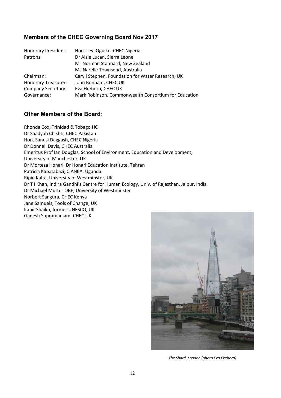### **Members of the CHEC Governing Board Nov 2017**

| <b>Honorary President:</b> | Hon. Levi Oguike, CHEC Nigeria                       |
|----------------------------|------------------------------------------------------|
| Patrons:                   | Dr Aisie Lucan, Sierra Leone                         |
|                            | Mr Norman Stannard, New Zealand                      |
|                            | Ms Narelle Townsend, Australia                       |
| Chairman:                  | Caryll Stephen, Foundation for Water Research, UK    |
| Honorary Treasurer:        | John Bonham, CHEC UK                                 |
| <b>Company Secretary:</b>  | Eva Ekehorn, CHEC UK                                 |
| Governance:                | Mark Robinson, Commonwealth Consortium for Education |

#### **Other Members of the Board**:

Rhonda Cox, Trinidad & Tobago HC Dr Saadyah Chishti, CHEC Pakistan Hon. Sanusi Daggash, CHEC Nigeria Dr Donnell Davis, CHEC Australia Emeritus Prof Ian Douglas, School of Environment, Education and Development, University of Manchester, UK Dr Morteza Honari, Dr Honari Education Institute, Tehran Patricia Kabatabazi, CIANEA, Uganda Ripin Kalra, University of Westminster, UK Dr T I Khan, Indira Gandhi's Centre for Human Ecology, Univ. of Rajasthan, Jaipur, India Dr Michael Mutter OBE, University of Westminster Norbert Sangura, CHEC Kenya Jane Samuels, Tools of Change, UK Kabir Shaikh, former UNESCO, UK Ganesh Supramaniam, CHEC UK



*The Shard, London (photo Eva Ekehorn)*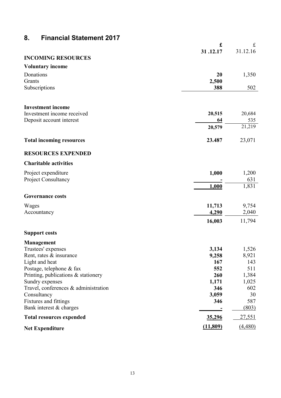## **8. Financial Statement 2017**

|                                                        | £          | £             |
|--------------------------------------------------------|------------|---------------|
|                                                        | 31.12.17   | 31.12.16      |
| <b>INCOMING RESOURCES</b>                              |            |               |
| <b>Voluntary income</b>                                |            |               |
| Donations                                              | 20         | 1,350         |
| Grants                                                 | 2,500      |               |
| Subscriptions                                          | 388        | 502           |
|                                                        |            |               |
|                                                        |            |               |
| <b>Investment income</b>                               |            |               |
| Investment income received                             | 20,515     | 20,684        |
| Deposit account interest                               | 64         | 535<br>21,219 |
|                                                        | 20,579     |               |
| <b>Total incoming resources</b>                        | 23.487     | 23,071        |
|                                                        |            |               |
| <b>RESOURCES EXPENDED</b>                              |            |               |
| <b>Charitable activities</b>                           |            |               |
| Project expenditure                                    | 1,000      | 1,200         |
| Project Consultancy                                    |            | 631           |
|                                                        | 1,000      | 1,831         |
|                                                        |            |               |
| <b>Governance costs</b>                                |            |               |
| Wages                                                  | 11,713     | 9,754         |
| Accountancy                                            | 4,290      | 2,040         |
|                                                        | 16,003     | 11,794        |
|                                                        |            |               |
| <b>Support costs</b>                                   |            |               |
| <b>Management</b>                                      |            |               |
| Trustees' expenses                                     | 3,134      | 1,526         |
| Rent, rates & insurance                                | 9,258      | 8,921         |
| Light and heat                                         | 167        | 143           |
| Postage, telephone & fax                               | 552<br>260 | 511           |
| Printing, publications & stationery<br>Sundry expenses | 1,171      | 1,384         |
| Travel, conferences & administration                   | 346        | 1,025<br>602  |
| Consultancy                                            | 3,059      | 30            |
| Fixtures and fittings                                  | 346        | 587           |
| Bank interest $&$ charges                              |            | (803)         |
| <b>Total resources expended</b>                        | 35,296     | <u>27,551</u> |
|                                                        |            |               |
| <b>Net Expenditure</b>                                 | (11, 809)  | (4,480)       |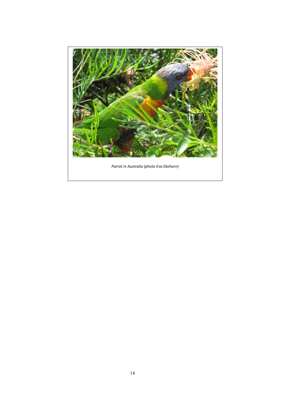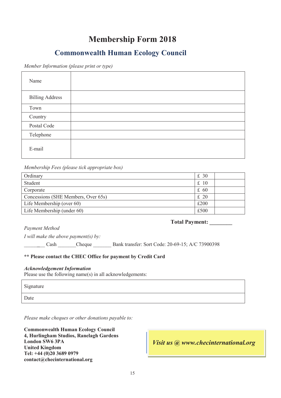## **Membership Form 2018**

## **Commonwealth Human Ecology Council**

*Member Information (please print or type)* 

| Name                   |  |
|------------------------|--|
| <b>Billing Address</b> |  |
| Town                   |  |
| Country                |  |
| Postal Code            |  |
| Telephone              |  |
| E-mail                 |  |

*Membership Fees (please tick appropriate box)* 

| Ordinary                            | £30  |  |
|-------------------------------------|------|--|
| Student                             | £10  |  |
| Corporate                           | £ 60 |  |
| Concessions (SHE Members, Over 65s) |      |  |
| Life Membership (over 60)           | £200 |  |
| Life Membership (under 60)          |      |  |

*Payment Method* 

**Total Payment: \_\_\_\_\_\_\_\_**

*I will make the above payment(s) by:* 

\_\_\_\_\_**\_**\_\_ Cash \_\_\_\_\_\_\_Cheque \_\_\_\_\_\_\_ Bank transfer: Sort Code: 20-69-15; A/C 73900398

#### **\*\* Please contact the CHEC Office for payment by Credit Card**

#### *Acknowledgement Information*

Please use the following name(s) in all acknowledgements:

Signature

Date

*Please make cheques or other donations payable to:*

**Commonwealth Human Ecology Council 4, Hurlingham Studios, Ranelagh Gardens London SW6 3PA United Kingdom Tel: +44 (0)20 3689 0979 contact@checinternational.org** 

*Visit us @ www.checinternational.org*